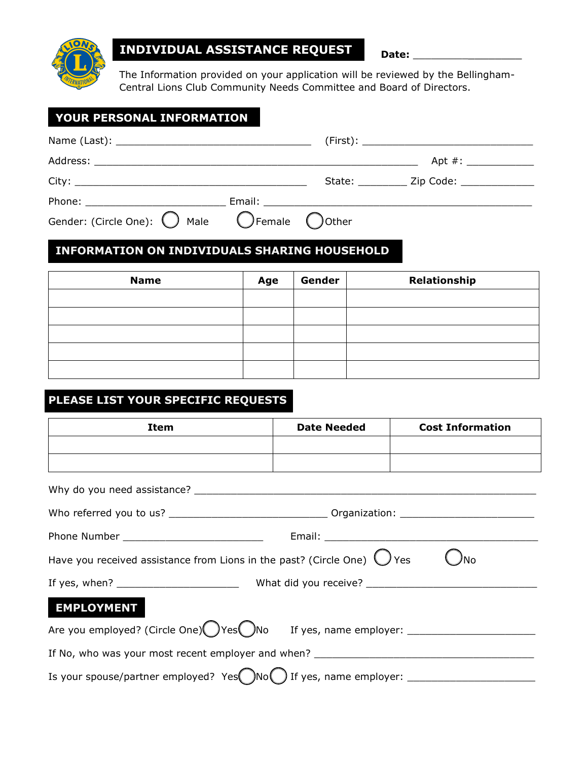

# **INDIVIDUAL ASSISTANCE REQUEST Date:**

The Information provided on your application will be reviewed by the Bellingham-Central Lions Club Community Needs Committee and Board of Directors.

## **YOUR PERSONAL INFORMATION**

|                                                                          |  | Apt $\#$ :              |  |
|--------------------------------------------------------------------------|--|-------------------------|--|
|                                                                          |  | State: <u>Zip Code:</u> |  |
| Phone: <u>www.communications.com</u>                                     |  |                         |  |
| Gender: (Circle One): $\bigcirc$ Male $\bigcirc$ Female $\bigcirc$ Other |  |                         |  |

## **INFORMATION ON INDIVIDUALS SHARING HOUSEHOLD**

| <b>Name</b> | Age | Gender | Relationship |
|-------------|-----|--------|--------------|
|             |     |        |              |
|             |     |        |              |
|             |     |        |              |
|             |     |        |              |
|             |     |        |              |

## **PLEASE LIST YOUR SPECIFIC REQUESTS**

| Item                                                                                                | <b>Date Needed</b> | <b>Cost Information</b> |  |  |  |
|-----------------------------------------------------------------------------------------------------|--------------------|-------------------------|--|--|--|
|                                                                                                     |                    |                         |  |  |  |
|                                                                                                     |                    |                         |  |  |  |
|                                                                                                     |                    |                         |  |  |  |
|                                                                                                     |                    |                         |  |  |  |
| Phone Number _______________________________                                                        |                    |                         |  |  |  |
| Have you received assistance from Lions in the past? (Circle One) $\bigcirc$ Yes<br><sup>)</sup> No |                    |                         |  |  |  |
|                                                                                                     |                    |                         |  |  |  |
| <b>EMPLOYMENT</b>                                                                                   |                    |                         |  |  |  |
| Are you employed? (Circle One) Yes No If yes, name employer: ___________________                    |                    |                         |  |  |  |
|                                                                                                     |                    |                         |  |  |  |
|                                                                                                     |                    |                         |  |  |  |